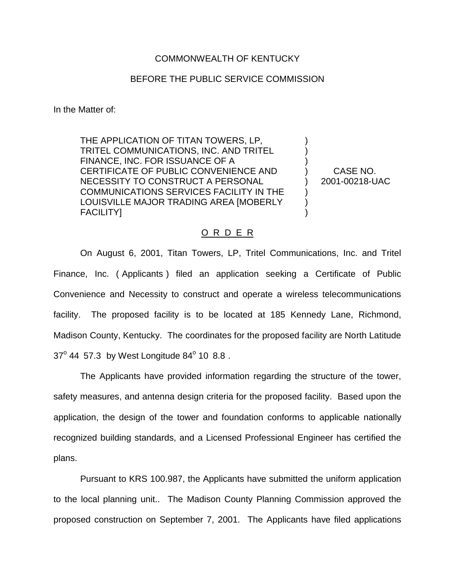## COMMONWEALTH OF KENTUCKY

## BEFORE THE PUBLIC SERVICE COMMISSION

In the Matter of:

THE APPLICATION OF TITAN TOWERS, LP, TRITEL COMMUNICATIONS, INC. AND TRITEL FINANCE, INC. FOR ISSUANCE OF A CERTIFICATE OF PUBLIC CONVENIENCE AND NECESSITY TO CONSTRUCT A PERSONAL COMMUNICATIONS SERVICES FACILITY IN THE LOUISVILLE MAJOR TRADING AREA [MOBERLY FACILITY]

CASE NO. 2001-00218-UAC

) ) ) ) ) ) ) )

## O R D E R

On August 6, 2001, Titan Towers, LP, Tritel Communications, Inc. and Tritel Finance, Inc. ( Applicants ) filed an application seeking a Certificate of Public Convenience and Necessity to construct and operate a wireless telecommunications facility. The proposed facility is to be located at 185 Kennedy Lane, Richmond, Madison County, Kentucky. The coordinates for the proposed facility are North Latitude  $37^{\circ}$  44 57.3 by West Longitude 84 $^{\circ}$  10 8.8.

The Applicants have provided information regarding the structure of the tower, safety measures, and antenna design criteria for the proposed facility. Based upon the application, the design of the tower and foundation conforms to applicable nationally recognized building standards, and a Licensed Professional Engineer has certified the plans.

Pursuant to KRS 100.987, the Applicants have submitted the uniform application to the local planning unit.. The Madison County Planning Commission approved the proposed construction on September 7, 2001. The Applicants have filed applications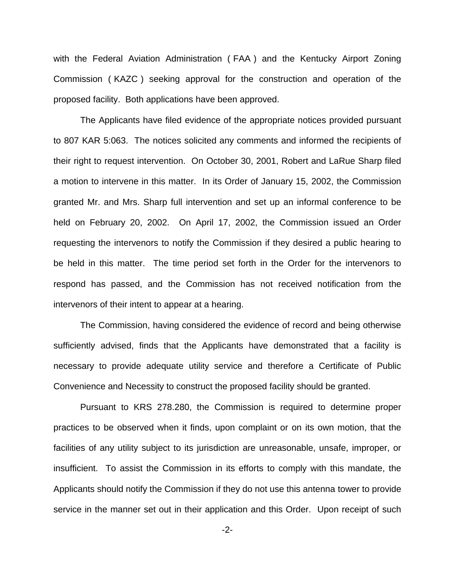with the Federal Aviation Administration ( FAA ) and the Kentucky Airport Zoning Commission ( KAZC ) seeking approval for the construction and operation of the proposed facility. Both applications have been approved.

The Applicants have filed evidence of the appropriate notices provided pursuant to 807 KAR 5:063. The notices solicited any comments and informed the recipients of their right to request intervention. On October 30, 2001, Robert and LaRue Sharp filed a motion to intervene in this matter. In its Order of January 15, 2002, the Commission granted Mr. and Mrs. Sharp full intervention and set up an informal conference to be held on February 20, 2002. On April 17, 2002, the Commission issued an Order requesting the intervenors to notify the Commission if they desired a public hearing to be held in this matter. The time period set forth in the Order for the intervenors to respond has passed, and the Commission has not received notification from the intervenors of their intent to appear at a hearing.

The Commission, having considered the evidence of record and being otherwise sufficiently advised, finds that the Applicants have demonstrated that a facility is necessary to provide adequate utility service and therefore a Certificate of Public Convenience and Necessity to construct the proposed facility should be granted.

Pursuant to KRS 278.280, the Commission is required to determine proper practices to be observed when it finds, upon complaint or on its own motion, that the facilities of any utility subject to its jurisdiction are unreasonable, unsafe, improper, or insufficient. To assist the Commission in its efforts to comply with this mandate, the Applicants should notify the Commission if they do not use this antenna tower to provide service in the manner set out in their application and this Order. Upon receipt of such

-2-